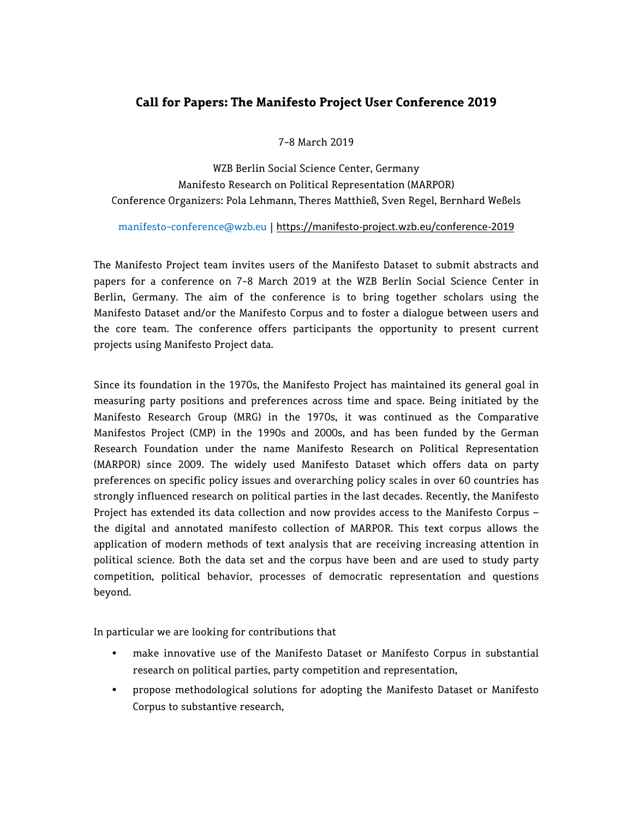# **Call for Papers: The Manifesto Project User Conference 2019**

7-8 March 2019

WZB Berlin Social Science Center, Germany Manifesto Research on Political Representation (MARPOR) Conference Organizers: Pola Lehmann, Theres Matthieß, Sven Regel, Bernhard Weßels

[manifesto-conference@wzb.eu](mailto:manifesto-conference@wzb.eu) | <https://manifesto-project.wzb.eu/conference-2019>

The Manifesto Project team invites users of the Manifesto Dataset to submit abstracts and papers for a conference on 7-8 March 2019 at the WZB Berlin Social Science Center in Berlin, Germany. The aim of the conference is to bring together scholars using the Manifesto Dataset and/or the Manifesto Corpus and to foster a dialogue between users and the core team. The conference offers participants the opportunity to present current projects using Manifesto Project data.

Since its foundation in the 1970s, the Manifesto Project has maintained its general goal in measuring party positions and preferences across time and space. Being initiated by the Manifesto Research Group (MRG) in the 1970s, it was continued as the Comparative Manifestos Project (CMP) in the 1990s and 2000s, and has been funded by the German Research Foundation under the name Manifesto Research on Political Representation (MARPOR) since 2009. The widely used Manifesto Dataset which offers data on party preferences on specific policy issues and overarching policy scales in over 60 countries has strongly influenced research on political parties in the last decades. Recently, the Manifesto Project has extended its data collection and now provides access to the Manifesto Corpus – the digital and annotated manifesto collection of MARPOR. This text corpus allows the application of modern methods of text analysis that are receiving increasing attention in political science. Both the data set and the corpus have been and are used to study party competition, political behavior, processes of democratic representation and questions beyond.

In particular we are looking for contributions that

- make innovative use of the Manifesto Dataset or Manifesto Corpus in substantial research on political parties, party competition and representation,
- propose methodological solutions for adopting the Manifesto Dataset or Manifesto Corpus to substantive research,